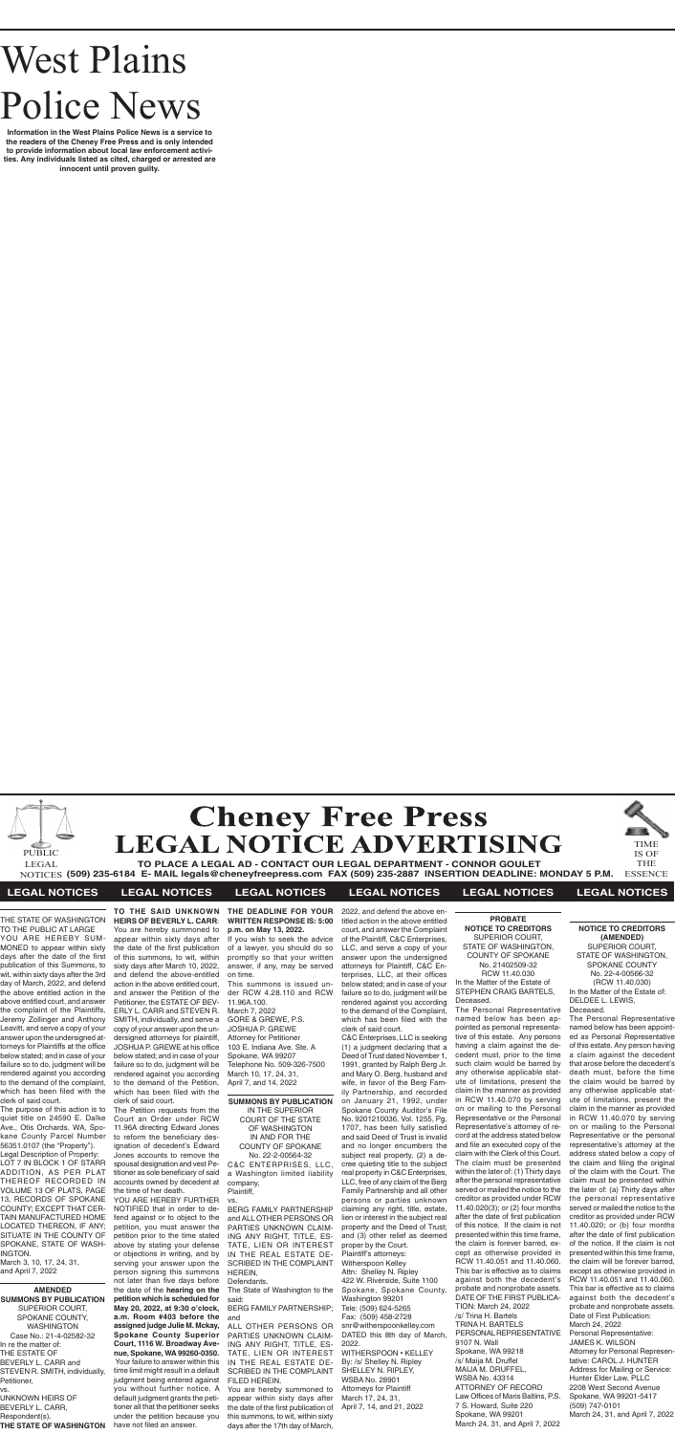# West Plains Police News

**Information in the West Plains Police News is a service to the readers of the Cheney Free Press and is only intended to provide information about local law enforcement activities. Any individuals listed as cited, charged or arrested are innocent until proven guilty.**





**TO PLACE A LEGAL AD - CONTACT OUR LEGAL DEPARTMENT - CONNOR GOULET (509) 235-6184 E- MAIL legals@cheneyfreepress.com FAX (509) 235-2887 INSERTION DEADLINE: MONDAY 5 P.M.** NOTICES ESSENCE

TIME IS OF THE



#### **LEGAL NOTICES LEGAL NOTICES LEGAL NOTICES LEGAL NOTICES LEGAL NOTICES LEGAL NOTICES**

THE STATE OF WASHINGTON TO THE PUBLIC AT LARGE

YOU ARE HEREBY SUM-MONED to appear within sixty days after the date of the first publication of this Summons, to wit, within sixty days after the 3rd day of March, 2022, and defend the above entitled action in the above entitled court, and answer the complaint of the Plaintiffs, Jeremy Zollinger and Anthony Leavitt, and serve a copy of your answer upon the undersigned attorneys for Plaintiffs at the office below stated; and in case of your failure so to do, judgment will be rendered against you according to the demand of the complaint, which has been filed with the clerk of said court.

The purpose of this action is to quiet title on 24590 E. Dalke Ave., Otis Orchards, WA, Spokane County Parcel Number 56351.0107 (the "Property").

Legal Description of Property: LOT 7 IN BLOCK 1 OF STARR ADDITION, AS PER PLAT THEREOF RECORDED IN VOLUME 13 OF PLATS, PAGE 13, RECORDS OF SPOKANE COUNTY; EXCEPT THAT CER-TAIN MANUFACTURED HOME LOCATED THEREON, IF ANY; SITUATE IN THE COUNTY OF SPOKANE, STATE OF WASH-INGTON.

March 3, 10, 17, 24, 31, and April 7, 2022

**AMENDED SUMMONS BY PUBLICATION** SUPERIOR COURT, SPOKANE COUNTY, WASHINGTON Case No.: 21-4-02582-32 In re the matter of: THE ESTATE OF BEVERLY L. CARR and STEVEN R. SMITH, individually, Petitioner, vs. UNKNOWN HEIRS OF BEVERLY L. CARR, Respondent(s). **THE STATE OF WASHINGTON** 

**TO THE SAID UNKNOWN HEIRS OF BEVERLY L. CARR**: You are hereby summoned to appear within sixty days after the date of the first publication of this summons, to wit, within sixty days after March 10, 2022, and defend the above-entitled

action in the above entitled court, and answer the Petition of the Petitioner, the ESTATE OF BEV-ERLY L. CARR and STEVEN R. SMITH, individually, and serve a copy of your answer upon the undersigned attorneys for plaintiff, JOSHUA P. GREWE at his office below stated; and in case of your failure so to do, judgment will be rendered against you according to the demand of the Petition, which has been filed with the clerk of said court.

The Petition requests from the Court an Order under RCW 11.96A directing Edward Jones to reform the beneficiary designation of decedent's Edward Jones accounts to remove the spousal designation and vest Petitioner as sole beneficiary of said accounts owned by decedent at the time of her death.

YOU ARE HEREBY FURTHER NOTIFIED that in order to defend against or to object to the petition, you must answer the petition prior to the time stated above by stating your defense or objections in writing, and by serving your answer upon the person signing this summons not later than five days before the date of the **hearing on the petition which is scheduled for May 20, 2022, at 9:30 o'clock, a.m. Room #403 before the assigned judge Julie M. Mckay, Spokane County Superior Court, 1116 W. Broadway Avenue, Spokane, WA 99260-0350.**  Your failure to answer within this time limit might result in a default judgment being entered against you without further notice. A default judgment grants the petitioner all that the petitioner seeks under the petition because you have not filed an answer.

#### **THE DEADLINE FOR YOUR WRITTEN RESPONSE IS: 5:00 p.m. on May 13, 2022.**

If you wish to seek the advice of a lawyer, you should do so promptly so that your written answer, if any, may be served on time.

This summons is issued under RCW 4.28.110 and RCW 11.96A.100. March 7, 2022 GORE & GREWE, P.S. JOSHUA P. GREWE Attorney for Petitioner 103 E. Indiana Ave. Ste. A Spokane, WA 99207 Telephone No. 509-326-7500 March 10, 17, 24, 31, April 7, and 14, 2022

#### **SUMMONS BY PUBLICATION** IN THE SUPERIOR

COURT OF THE STATE OF WASHINGTON IN AND FOR THE COUNTY OF SPOKANE No. 22-2-00564-32 C&C ENTERPRISES, LLC,

a Washington limited liability company, Plaintiff,

vs.

BERG FAMILY PARTNERSHIP and ALL OTHER PERSONS OR PARTIES UNKNOWN CLAIM-ING ANY RIGHT, TITLE, ES-TATE, LIEN OR INTEREST IN THE REAL ESTATE DE-SCRIBED IN THE COMPLAINT HEREIN,

Defendants.

The State of Washington to the said:

BERG FAMILY PARTNERSHIP; and

ALL OTHER PERSONS OR PARTIES UNKNOWN CLAIM-ING ANY RIGHT, TITLE, ES-TATE, LIEN OR INTEREST IN THE REAL ESTATE DE-SCRIBED IN THE COMPLAINT FILED HEREIN.

You are hereby summoned to appear within sixty days after the date of the first publication of this summons, to wit, within sixty days after the 17th day of March,

2022, and defend the above entitled action in the above entitled court, and answer the Complaint of the Plaintiff, C&C Enterprises, LLC, and serve a copy of your answer upon the undersigned attorneys for Plaintiff, C&C Enterprises, LLC, at their offices below stated; and in case of your failure so to do, judgment will be rendered against you according to the demand of the Complaint, which has been filed with the clerk of said court.

C&C Enterprises, LLC is seeking (1) a judgment declaring that a Deed of Trust dated November 1, 1991, granted by Ralph Berg Jr. and Mary O. Berg, husband and wife, in favor of the Berg Family Partnership, and recorded on January 21, 1992, under Spokane County Auditor's File No. 9201210036, Vol. 1255, Pg. 1707, has been fully satisfied and said Deed of Trust is invalid and no longer encumbers the subject real property, (2) a decree quieting title to the subject real property in C&C Enterprises, LLC, free of any claim of the Berg Family Partnership and all other persons or parties unknown claiming any right, title, estate, lien or interest in the subject real property and the Deed of Trust; and (3) other relief as deemed proper by the Court. Plaintiff's attorneys: Witherspoon Kelley Attn: Shelley N. Ripley 422 W. Riverside, Suite 1100 Spokane, Spokane County, Washington 99201 Tele: (509) 624-5265 Fax: (509) 458-2728 snr@witherspoonkelley.com DATED this 8th day of March, 2022.

WITHERSPOON • KELLEY By: /s/ Shelley N. Ripley SHELLEY N. RIPLEY, WSBA No. 28901 Attorneys for Plaintiff March 17, 24, 31, April 7, 14, and 21, 2022

**PROBATE NOTICE TO CREDITORS** SUPERIOR COURT, STATE OF WASHINGTON, COUNTY OF SPOKANE No. 21402509-32 RCW 11.40.030 In the Matter of the Estate of STEPHEN CRAIG BARTELS, Deceased.

The Personal Representative named below has been appointed as personal representative of this estate. Any persons having a claim against the decedent must, prior to the time such claim would be barred by any otherwise applicable statute of limitations, present the claim in the manner as provided in RCW 11.40.070 by serving on or mailing to the Personal Representative or the Personal Representative's attorney of record at the address stated below and file an executed copy of the claim with the Clerk of this Court. The claim must be presented within the later of: (1) Thirty days after the personal representative served or mailed the notice to the creditor as provided under RCW 11.40.020(3); or (2) four months after the date of first publication of this notice. If the claim is not presented within this time frame, the claim is forever barred, except as otherwise provided in RCW 11.40.051 and 11.40.060. This bar is effective as to claims against both the decedent's probate and nonprobate assets. DATE OF THE FIRST PUBLICA-TION: March 24, 2022 /s/ Trina H. Bartels TRINA H. BARTELS PERSONAL REPRESENTATIVE 9107 N. Wall Spokane, WA 99218 /s/ Maija M. Druffel MAIJA M. DRUFFEL, WSBA No. 43314 ATTORNEY OF RECORD Law Offices of Maris Baltins, P.S. 7 S. Howard, Suite 220 Spokane, WA 99201 March 24, 31, and April 7, 2022

**NOTICE TO CREDITORS (AMENDED)** SUPERIOR COURT, STATE OF WASHINGTON, SPOKANE COUNTY No. 22-4-00566-32 (RCW 11.40.030)

In the Matter of the Estate of: DELDEE L. LEWIS, Deceased.

The Personal Representative named below has been appointed as Personal Representative of this estate. Any person having a claim against the decedent that arose before the decedent's death must, before the time the claim would be barred by any otherwise applicable statute of limitations, present the claim in the manner as provided in RCW 11.40.070 by serving on or mailing to the Personal Representative or the personal representative's attorney at the address stated below a copy of the claim and filing the original of the claim with the Court. The claim must be presented within the later of: (a) Thirty days after the personal representative served or mailed the notice to the creditor as provided under RCW 11.40.020; or (b) four months after the date of first publication of the notice. If the claim is not presented within this time frame, the claim will be forever barred, except as otherwise provided in RCW 11.40.051 and 11.40.060. This bar is effective as to claims against both the decedent's probate and nonprobate assets. Date of First Publication: March 24, 2022 Personal Representative: JAMES K. WILSON Attorney for Personal Representative: CAROL J. HUNTER Address for Mailing or Service: Hunter Elder Law, PLLC 2208 West Second Avenue Spokane, WA 99201-5417 (509) 747-0101 March 24, 31, and April 7, 2022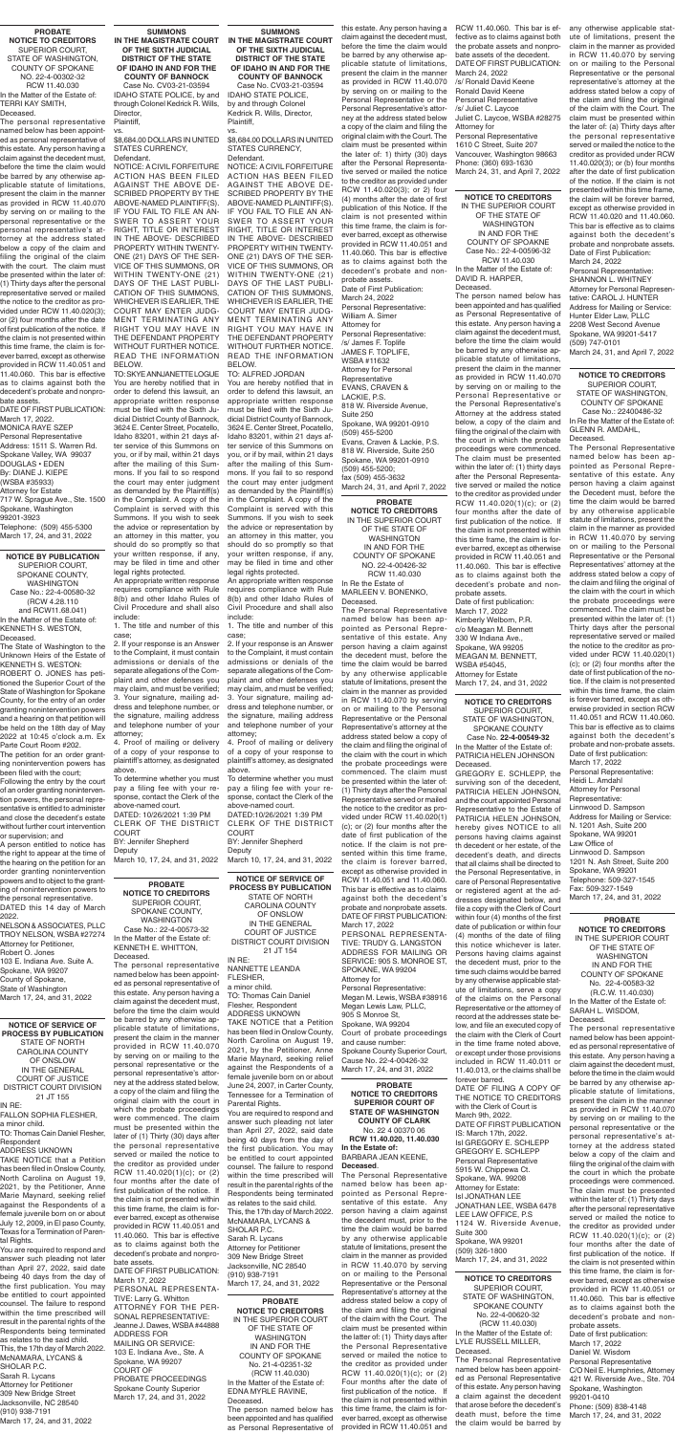**NOTICE BY PUBLICATION** SUPERIOR COURT, SPOKANE COUNTY, WASHINGTON Case No.: 22-4-00580-32 (RCW 4.28.110 and RCW11.68.041) In the Matter of the Estate of: KENNETH S. WESTON,

Deceased. The State of Washington to the

Unknown Heirs of the Estate of KENNETH S. WESTON:

ROBERT O. JONES has petitioned the Superior Court of the State of Washington for Spokane County, for the entry of an order granting nonintervention powers and a hearing on that petition will be held on the 18th day of May 2022 at 10:45 o'clock a.m. Ex Parte Court Room #202.

The petition for an order granting nonintervention powers has been filed with the court;

Following the entry by the court of an order granting nonintervention powers, the personal representative is entitled to administer and close the decedent's estate without further court intervention or supervision; and

A person entitled to notice has the right to appear at the time of the hearing on the petition for an order granting nonintervention powers and to object to the granting of nonintervention powers to the personal representative. DATED this 14 day of March

2022. NELSON & ASSOCIATES, PLLC TROY NELSON, WSBA #27274 Attorney for Petitioner, Robert O. Jones 103 E. Indiana Ave. Suite A. Spokane, WA 99207 County of Spokane, State of Washington March 17, 24, and 31, 2022

has been filed in Onslow County, North Carolina on August 19, 2021, by the Petitioner, Anne Marie Maynard, seeking relief against the Respondents of a female juvenile born on or about July 12, 2009, in El paso County, Texas for a Termination of Parental Rights.

**NOTICE OF SERVICE OF PROCESS BY PUBLICATION** STATE OF NORTH CAROLINA COUNTY OF ONSLOW IN THE GENERAL COURT OF JUSTICE DISTRICT COURT DIVISION 21 JT 154 IN RE: NANNETTE LEANDA FLESHER, a minor child. TO: Thomas Cain Daniel Flesher, Respondent ADDRESS UKNOWN TAKE NOTICE that a Petition has been filed in Onslow County, North Carolina on August 19, 2021, by the Petitioner, Anne Marie Maynard, seeking relief against the Respondents of a female juvenile born on or about June 24, 2007, in Carter County, Tennessee for a Termination of Parental Rights.

You are required to respond and answer such pleading not later than April 27, 2022, said date being 40 days from the day of the first publication. You may be entitled to court appointed counsel. The failure to respond within the time prescribed will result in the parental rights of the Respondents being terminated as relates to the said child. This, the 17th day of March 2022. McNAMARA, LYCANS & SHOLAR P.C. Sarah R. Lycans Attorney for Petitioner 309 New Bridge Street Jacksonville, NC 28540 (910) 938-7191 March 17, 24, and 31, 2022

**NOTICE OF SERVICE OF PROCESS BY PUBLICATION** STATE OF NORTH CAROLINA COUNTY OF ONSLOW IN THE GENERAL COURT OF JUSTICE DISTRICT COURT DIVISION 21 JT 155 IN RE: FALLON SOPHIA FLESHER, a minor child. TO: Thomas Cain Daniel Flesher,

Respondent ADDRESS UKNOWN TAKE NOTICE that a Petition

You are required to respond and answer such pleading not later than April 27, 2022, said date being 40 days from the day of the first publication. You may be entitled to court appointed counsel. The failure to respond within the time prescribed will result in the parental rights of the Respondents being terminated as relates to the said child. This, the 17th day of March 2022. McNAMARA, LYCANS & SHOLAR P.C. Sarah R. Lycans Attorney for Petitioner 309 New Bridge Street Jacksonville, NC 28540

(910) 938-7191 March 17, 24, and 31, 2022

#### **SUMMONS IN THE MAGISTRATE COURT IN THE MAGISTRATE COURT OF THE SIXTH JUDICIAL DISTRICT OF THE STATE OF IDAHO IN AND FOR THE COUNTY OF BANNOCK** Case No. CV03-21-03594 IDAHO STATE POLICE, by and through Colonel Kedrick R. Wills,

Director, Plaintiff, vs.

\$8,684.00 DOLLARS IN UNITED STATES CURRENCY, Defendant.

NOTICE: A CIVIL FORFEITURE ACTION HAS BEEN FILED AGAINST THE ABOVE DE-SCRIBED PROPERTY BY THE ABOVE-NAMED PLAINTIFF(S). IF YOU FAIL TO FILE AN AN-SWER TO ASSERT YOUR RIGHT, TITLE OR INTEREST IN THE ABOVE- DESCRIBED PROPERTY WITHIN TWENTY-ONE (21) DAYS OF THE SER-VICE OF THIS SUMMONS, OR WITHIN TWENTY-ONE (21) DAYS OF THE LAST PUBLI-CATION OF THIS SUMMONS, WHICHEVER IS EARLIER, THE COURT MAY ENTER JUDG-MENT TERMINATING ANY RIGHT YOU MAY HAVE IN THE DEFENDANT PROPERTY WITHOUT FURTHER NOTICE. READ THE INFORMATION BELOW.

> Jennifer Shepherd Deputy March 10, 17, 24, and 31, 2022

TO: SKYE ANNJANETTE LOGUE You are hereby notified that in order to defend this lawsuit, an appropriate written response must be filed with the Sixth Judicial District County of Bannock, 3624 E. Center Street, Pocatello, Idaho 83201, within 21 days after service of this Summons on you, or if by mail, within 21 days after the mailing of this Summons. If you fail to so respond the court may enter judgment as demanded by the Plaintiff(s) in the Complaint. A copy of the Complaint is served with this Summons. If you wish to seek the advice or representation by an attorney in this matter, you should do so promptly so that your written response, if any, may be filed in time and other legal rights protected.

An appropriate written response requires compliance with Rule 8(b) and other Idaho Rules of Civil Procedure and shall also include:

1. The title and number of this case;

2. If your response is an Answer to the Complaint, it must contain admissions or denials of the separate allegations of the Complaint and other defenses you may claim, and must be verified; 3. Your signature, mailing address and telephone number, or the signature, mailing address and telephone number of your attorney;

4. Proof of mailing or delivery of a copy of your response to plaintiff's attorney, as designated above.

To determine whether you must pay a filing fee with your response, contact the Clerk of the above-named court.

DATED: 10/26/2021 1:39 PM CLERK OF THE DISTRICT COURT

BY: Jennifer Shepherd Deputy March 10, 17, 24, and 31, 2022

#### **SUMMONS OF THE SIXTH JUDICIAL DISTRICT OF THE STATE OF IDAHO IN AND FOR THE COUNTY OF BANNOCK**

Case No. CV03-21-03594 IDAHO STATE POLICE, by and through Colonel Kedrick R. Wills, Director, Plaintiff, vs.

\$8,684.00 DOLLARS IN UNITED STATES CURRENCY,

Defendant. NOTICE: A CIVIL FORFEITURE ACTION HAS BEEN FILED AGAINST THE ABOVE DE-SCRIBED PROPERTY BY THE ABOVE-NAMED PLAINTIFF(S). IF YOU FAIL TO FILE AN AN-SWER TO ASSERT YOUR RIGHT, TITLE OR INTEREST IN THE ABOVE- DESCRIBED PROPERTY WITHIN TWENTY-ONE (21) DAYS OF THE SER-VICE OF THIS SUMMONS, OR WITHIN TWENTY-ONE (21) DAYS OF THE LAST PUBLI-CATION OF THIS SUMMONS, WHICHEVER IS EARLIER, THE COURT MAY ENTER JUDG-MENT TERMINATING ANY RIGHT YOU MAY HAVE IN THE DEFENDANT PROPERTY WITHOUT FURTHER NOTICE. READ THE INFORMATION BELOW.

TO: ALFRED JORDAN

You are hereby notified that in order to defend this lawsuit, an appropriate written response must be filed with the Sixth Judicial District County of Bannock, 3624 E. Center Street, Pocatello, Idaho 83201, within 21 days after service of this Summons on you, or if by mail, within 21 days after the mailing of this Summons. If you fail to so respond the court may enter judgment as demanded by the Plaintiff(s) in the Complaint. A copy of the Complaint is served with this Summons. If you wish to seek the advice or representation by an attorney in this matter, you should do so promptly so that your written response, if any, may be filed in time and other legal rights protected.

An appropriate written response requires compliance with Rule 8(b) and other Idaho Rules of Civil Procedure and shall also include:

1. The title and number of this case;

2. If your response is an Answer to the Complaint, it must contain admissions or denials of the separate allegations of the Complaint and other defenses you may claim, and must be verified; 3. Your signature, mailing address and telephone number, or the signature, mailing address and telephone number of your attorney;

4. Proof of mailing or delivery of a copy of your response to plaintiff's attorney, as designated above.

To determine whether you must pay a filing fee with your response, contact the Clerk of the above-named court.

DATED:10/26/2021 1:39 PM CLERK OF THE DISTRICT COURT

**PROBATE NOTICE TO CREDITORS** SUPERIOR COURT, SPOKANE COUNTY, WASHINGTON Case No.: 22-4-00573-32 In the Matter of the Estate of: KENNETH E. WHITTON, Deceased.

The personal representative named below has been appointed as personal representative of this estate. Any person having a claim against the decedent must, before the time the claim would be barred by any otherwise applicable statute of limitations, present the claim in the manner provided in RCW 11.40.070 by serving on or mailing to the personal representative or the personal representative's attorney at the address stated below, a copy of the claim and filing the original claim with the court in which the probate proceedings were commenced. The claim must be presented within the later of (1) Thirty (30) days after the personal representative served or mailed the notice to the creditor as provided under RCW 11.40.020(1)(c); or (2) four months after the date of first publication of the notice. If the claim is not presented within this time frame, the claim is forever barred, except as otherwise provided in RCW 11.40.051 and 11.40.060. This bar is effective as to claims against both the decedent's probate and nonprobate assets.

DATE OF FIRST PUBLICATION: March 17, 2022 PERSONAL REPRESENTA-TIVE: Larry G. Whitton ATTORNEY FOR THE PER-SONAL REPRESENTATIVE: Jeanne J. Dawes, WSBA #44888 ADDRESS FOR MAILING OR SERVICE: 103 E. Indiana Ave., Ste. A Spokane, WA 99207 COURT OF PROBATE PROCEEDINGS Spokane County Superior March 17, 24, and 31, 2022

#### **PROBATE NOTICE TO CREDITORS** SUPERIOR COURT, STATE OF WASHINGTON, COUNTY OF SPOKANE NO. 22-4-00302-32 RCW 11.40.030 In the Matter of the Estate of: TERRI KAY SMITH,

Deceased. The personal representative named below has been appointed as personal representative of this estate. Any person having a claim against the decedent must, before the time the claim would be barred by any otherwise applicable statute of limitations, present the claim in the manner as provided in RCW 11.40.070 by serving on or mailing to the personal representative or the personal representative's attorney at the address stated below a copy of the claim and filing the original of the claim with the court. The claim must be presented within the later of: (1) Thirty days after the personal representative served or mailed the notice to the creditor as provided under RCW 11.40.020(3); or (2) four months after the date of first publication of the notice. If the claim is not presented within this time frame, the claim is forever barred, except as otherwise provided in RCW 11.40.051 and 11.40.060. This bar is effective as to claims against both the decedent's probate and nonpro-

bate assets. DATE OF FIRST PUBLICATION: March 17, 2022.

RCW 11.40.060. This bar is ef- any otherwise applicable statfective as to claims against both the probate assets and nonprobate assets of the decedent. DATE OF FIRST PUBLICATION: March 24, 2022 /s/ Ronald David Keene

MONICA RAYE SZEP Personal Representative Address: 1511 S. Warren Rd. Spokane Valley, WA 99037 DOUGLAS • EDEN By: DIANE J. KIEPE (WSBA #35933) Attorney for Estate 717 W. Sprague Ave., Ste. 1500 Spokane, Washington 99201-3923

Telephone: (509) 455-5300 March 17, 24, and 31, 2022

**NOTICE TO CREDITORS** SUPERIOR COURT, STATE OF WASHINGTON, COUNTY OF SPOKANE Case No.: 22400486-32

In Re the Matter of the Estate of: GLENN R. AMDAHL, Deceased.

The Personal Representative named below has been appointed as Personal Representative of this estate. Any person having a claim against the Decedent must, before the time the claim would be barred by any otherwise applicable statute of limitations, present the claim in the manner as provided in RCW 11.40.070 by serving on or mailing to the Personal Representative or the Personal Representatives' attorney at the address stated below a copy of the claim and filing the original of the claim with the court in which the probate proceedings were commenced. The claim must be presented within the later of: (1) Thirty days after the personal representative served or mailed the notice to the creditor as provided under RCW 11.40.020(1) (c); or (2) four months after the date of first publication of the notice. If the claim is not presented within this time frame, the claim is forever barred, except as otherwise provided in section RCW 11.40.051 and RCW 11.40.060. This bar is effective as to claims against both the decedent's probate and non-probate assets. Date of first publication: March 17, 2022 Personal Representative: Heidi L. Amdahl Attorney for Personal Representative: Linnwood D. Sampson

Address for Mailing or Service: N. 1201 Ash, Suite 200 Spokane, WA 99201

Law Office of Linnwood D. Sampson 1201 N. Ash Street, Suite 200 Spokane, WA 99201 Telephone: 509-327-1545 Fax: 509-327-1549 March 17, 24, and 31, 2022

**NOTICE TO CREDITORS** SUPERIOR COURT, STATE OF WASHINGTON,

SPOKANE COUNTY Case No. **22-4-00549-32** In the Matter of the Estate of: PATRICIA HELEN JOHNSON Deceased.

**PROBATE** 

**NOTICE TO CREDITORS** IN THE SUPERIOR COURT OF THE STATE OF WASHINGTON IN AND FOR THE COUNTY OF SPOKANE NO. 22-4-00426-32 RCW 11.40.030

In Re the Estate of MARLEEN V. BONENKO, Deceased.

The Personal Representative named below has been appointed as Personal Representative of this estate. Any person having a claim against the decedent must, before the time the claim would be barred by any otherwise applicable statute of limitations, present the claim in the manner as provided in RCW 11.40.070 by serving on or mailing to the Personal Representative or the Personal Representative's attorney at the address stated below a copy of the claim and filing the original of the claim with the court in which the probate proceedings were commenced. The claim must be presented within the later of: (1) Thirty days after the Personal Representative served or mailed the notice to the creditor as provided under RCW 11.40.020(1) (c); or (2) four months after the date of first publication of the notice. If the claim is not presented within this time frame, the claim is forever barred, except as otherwise provided in RCW 11.40.051 and 11.40.060. This bar is effective as to claims against both the decedent's probate and nonprobate assets. DATE OF FIRST PUBLICATION: March 17, 2022 PERSONAL REPRESENTA-TIVE: TRUDY G. LANGSTON ADDRESS FOR MAILING OR SERVICE: 905 S. MONROE ST, SPOKANE, WA 99204 Attorney for Personal Representative: Megan M. Lewis, WSBA #38916 Megan Lewis Law, PLLC, 905 S Monroe St, Spokane, WA 99204 Court of probate proceedings and cause number: Spokane County Superior Court, Cause No. 22-4-00426-32 March 17, 24, and 31, 2022

**NOTICE TO CREDITORS** IN THE SUPERIOR COURT OF THE STATE OF WASHINGTON IN AND FOR THE COUNTY OF SPOAKNE Case No.: 22-4-00596-32 RCW 11.40.030

In the Matter of the Estate of: DAVID R. HARPER, Deceased.

The person named below has been appointed and has qualified as Personal Representative of this estate. Any person having a claim against the decedent must, before the time the claim would be barred by any otherwise applicable statute of limitations, present the claim in the manner as provided in RCW 11.40.070 by serving on or mailing to the Personal Representative or the Personal Representative's Attorney at the address stated below, a copy of the claim and filing the original of the claim with the court in which the probate proceedings were commenced. The claim must be presented within the later of: (1) thirty days after the Personal Representative served or mailed the notice to the creditor as provided under RCW 11.40.020(1)(c); or (2) four months after the date of first publication of the notice. If the claim is not presented within this time frame, the claim is forever barred, except as otherwise provided in RCW 11.40.051 and 11.40.060. This bar is effective as to claims against both the decedent's probate and nonprobate assets. Date of first publication: March 17, 2022 Kimberly Welborn, P.R.

c/o Meagan M. Bennett 330 W Indiana Ave., Spokane, WA 99205 MEAGAN M. BENNETT, WSBA #54045, Attorney for Estate March 17, 24, and 31, 2022

> **PROBATE NOTICE TO CREDITORS** IN THE SUPERIOR COURT OF THE STATE OF WASHINGTON IN AND FOR THE COUNTY OF SPOKANE No. 22-4-00583-32 (R.C.W. 11.40.030) In the Matter of the Estate of: SARAH L. WISDOM, Deceased.

GREGORY E. SCHLEPP, the surviving son of the decedent, PATRICIA HELEN JOHNSON, and the court appointed Personal Representative to the Estate of PATRICIA HELEN JOHNSON, hereby gives NOTICE to all persons having claims against th decedent or her estate, of the decedent's death, and directs that all claims shall be directed to the Personal Representative, in care of Personal Representative or registered agent at the addresses designated below, and file a copy with the Clerk of Court within four (4) months of the first date of publication or within four (4) months of the date of filing this notice whichever is later. Persons having claims against the decedent must, prior to the time such claims would be barred by any otherwise applicable statute of limitations, serve a copy of the claims on the Personal Representative or the attorney of record at the addresses state below, and file an executed copy of the claim with the Clerk of Court in the time frame noted above, or except under those provisions included in RCW 11.40.011 or 11.40.013, or the claims shall be forever barred. DATE OF FILING A COPY OF THE NOTICE TO CREDITORS with the Clerk of Court is March 9th, 2022. DATE OF FIRST PUBLICATION IS: March 17th, 2022. Isl GREGORY E. SCHLEPP GREGORY E. SCHLEPP Personal Representative 5915 W. Chippewa Ct. Spokane, WA. 99208 Attorney for Estate: Isl JONATHAN LEE JONATHAN LEE, WSBA 6478 LEE LAW OFFICE, P.S 1124 W. Riverside Avenue, Suite 300 Spokane, WA 99201 (509) 326-1800 March 17, 24, and 31, 2022 **NOTICE TO CREDITORS** SUPERIOR COURT, STATE OF WASHINGTON, SPOKANE COUNTY No. 22-4-00620-32 (RCW 11.40.030) In the Matter of the Estate of: LYLE RUSSELL MILLER, Deceased. The Personal Representative named below has been appointed as Personal Representative of this estate. Any person having a claim against the decedent that arose before the decedent's death must, before the time the claim would be barred by

The personal representative named below has been appointed as personal representative of this estate. Any person having a claim against the decedent must, before the time in the claim would be barred by any otherwise applicable statute of limitations, present the claim in the manner as provided in RCW 11.40.070 by serving on or mailing to the personal representative or the personal representative's attorney at the address stated below a copy of the claim and filing the original of the claim with the court in which the probate proceedings were commenced. The claim must be presented within the later of: (1) Thirty days after the personal representative served or mailed the notice to the creditor as provided under RCW 11.40.020(1)(c); or (2) four months after the date of first publication of the notice. If the claim is not presented within this time frame, the claim is forever barred, except as otherwise provided in RCW 11.40.051 or 11.40.060. This bar is effective as to claims against both the decedent's probate and nonprobate assets. Date of first publication: March 17, 2022 Daniel W. Wisdom Personal Representative C/O Neil E. Humphries, Attorney 421 W. Riverside Ave., Ste. 704 Spokane, Washington 99201-0410 Phone: (509) 838-4148 March 17, 24, and 31, 2022

**PROBATE NOTICE TO CREDITORS** IN THE SUPERIOR COURT OF THE STATE OF WASHINGTON IN AND FOR THE COUNTY OF SPOKANE No. 21-4-02351-32 (RCW 11.40.030) In the Matter of the Estate of: EDNA MYRLE RAVINE, Deceased.

The person named below has been appointed and has qualified as Personal Representative of this estate. Any person having a claim against the decedent must, before the time the claim would be barred by any otherwise applicable statute of limitations, present the claim in the manner as provided in RCW 11.40.070 by serving on or mailing to the Personal Representative or the Personal Representative's attorney at the address stated below a copy of the claim and filing the original claim with the Court. The claim must be presented within the later of: 1) thirty (30) days after the Personal Representative served or mailed the notice to the creditor as provided under RCW 11.40.020(3); or 2) four (4) months after the date of first publication of this Notice. If the claim is not presented within this time frame, the claim is forever barred, except as otherwise provided in RCW 11.40.051 and 11.40.060. This bar is effective as to claims against both the decedent's probate and nonprobate assets. Date of First Publication: March 24, 2022 Personal Representative: William A. Simer Attorney for

Personal Representative: /s/ James F. Toplife JAMES F. TOPLIFE, WSBA #11632 Attorney for Personal **Representative** EVANS, CRAVEN & LACKIE, P.S. 818 W. Riverside Avenue, Suite 250 Spokane, WA 99201-0910 (509) 455-5200 Evans, Craven & Lackie, P.S. 818 W. Riverside, Suite 250 Spokane, WA 99201-0910 (509) 455-5200; fax (509) 455-3632 March 24, 31, and April 7, 2022

#### **PROBATE NOTICE TO CREDITORS SUPERIOR COURT OF STATE OF WASHINGTON COUNTY OF CLARK**

No. 22 4 00370 06 **RCW 11.40.020, 11.40.030 In the Estate of:** BARBARA JEAN KEENE, **Deceased**.

The Personal Representative named below has been appointed as Personal Representative of this estate. Any person having a claim against the decedent must, prior to the time the claim would be barred by any otherwise applicable statute of limitations, present the claim in the manner as provided in RCW 11.40.070 by serving on or mailing to the Personal Representative or the Personal Representative's attorney at the address stated below a copy of the claim and filing the original of the claim with the Court. The claim must be presented within the latter of: (1) Thirty days after the Personal Representative served or mailed the notice to the creditor as provided under RCW 11.40.020(1)(c); or (2) Four months after the date of first publication of the notice. If the claim is not presented within this time frame, the claim is forever barred, except as otherwise provided in RCW 11.40.051 and

Ronald David Keene Personal Representative /s/ Juliet C. Laycoe Juliet C. Laycoe, WSBA #28275 Attorney for Personal Representative

1610 C Street, Suite 207 Vancouver, Washington 98663 Phone: (360) 693-1630 March 24, 31, and April 7, 2022 ute of limitations, present the claim in the manner as provided in RCW 11.40.070 by serving on or mailing to the Personal Representative or the personal representative's attorney at the address stated below a copy of the claim and filing the original of the claim with the Court. The claim must be presented within the later of: (a) Thirty days after the personal representative served or mailed the notice to the creditor as provided under RCW 11.40.020(3); or (b) four months after the date of first publication of the notice. If the claim is not presented within this time frame, the claim will be forever barred, except as otherwise provided in RCW 11.40.020 and 11.40.060. This bar is effective as to claims against both the decedent's probate and nonprobate assets. Date of First Publication: March 24, 2022 Personal Representative: SHANNON L. WHITNEY Attorney for Personal Representative: CAROL J. HUNTER Address for Mailing or Service: Hunter Elder Law, PLLC 2208 West Second Avenue Spokane, WA 99201-5417 (509) 747-0101

March 24, 31, and April 7, 2022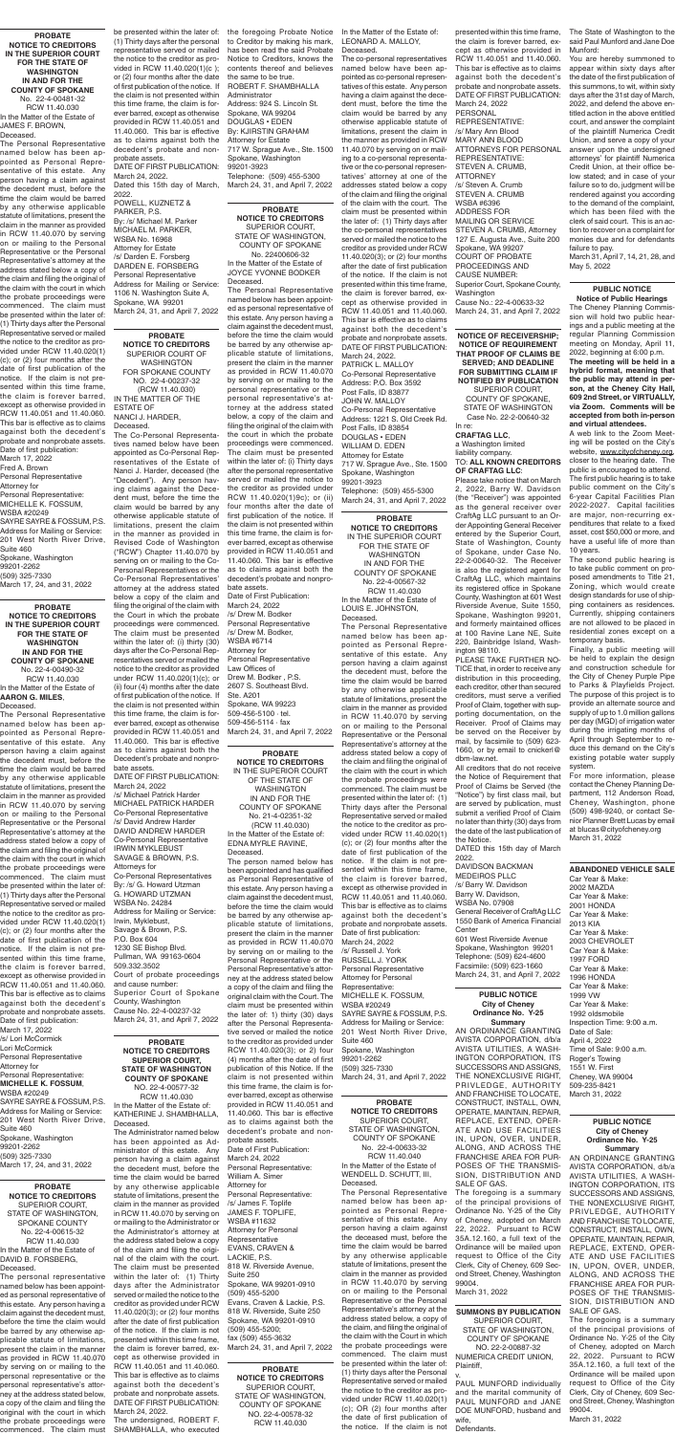**PROBATE NOTICE TO CREDITORS SUPERIOR COURT, STATE OF WASHINGTON COUNTY OF SPOKANE** NO. 22-4-00577-32 RCW 11.40.030 In the Matter of the Estate of: KATHERINE J. SHAMBHALLA, Deceased.

The Administrator named below has been appointed as Administrator of this estate. Any person having a claim against the decedent must, before the time the claim would be barred by any otherwise applicable statute of limitations, present the claim in the manner as provided in RCW 11.40.070 by serving on or mailing to the Administrator or the Administrator's attorney at the address stated below a copy of the claim and filing the original of the claim with the court. The claim must be presented within the later of: (1) Thirty days after the Administrator served or mailed the notice to the creditor as provided under RCW 11.40.020(3); or (2) four months after the date of first publication of the notice. If the claim is not presented within this time frame, the claim is forever barred, except as otherwise provided in RCW 11.40.051 and 11.40.060. This bar is effective as to claims against both the decedent's probate and nonprobate assets. DATE OF FIRST PUBLICATION: March 24, 2022.

The undersigned, ROBERT F. SHAMBHALLA, who executed

**PROBATE NOTICE TO CREDITORS** SUPERIOR COURT OF WASHINGTON FOR SPOKANE COUNTY NO. 22-4-00237-32 (RCW 11.40.030) IN THE MATTER OF THE ESTATE OF NANCI J. HARDER, Deceased.

The Co-Personal Representatives named below have been appointed as Co-Personal Representatives of the Estate of Nanci J. Harder, deceased (the "Decedent"). Any person having claims against the Decedent must, before the time the claim would be barred by any otherwise applicable statute of limitations, present the claim in the manner as provided in Revised Code of Washington ("RCW") Chapter 11.40.070 by serving on or mailing to the Co-Personal Representatives or the Co-Personal Representatives' attorney at the address stated below a copy of the claim and filing the original of the claim with the Court in which the probate proceedings were commenced. The claim must be presented within the later of: (i) thirty (30) days after the Co-Personal Representatives served or mailed the notice to the creditor as provided under RCW 11.40.020(1)(c); or (ii) four (4) months after the date of first publication of the notice. If the claim is not presented within this time frame, the claim is forever barred, except as otherwise provided in RCW 11.40.051 and 11.40.060. This bar is effective as to claims against both the Decedent's probate and nonprobate assets.

DATE OF FIRST PUBLICATION: March 24, 2022

/s/ Michael Patrick Harder MICHAEL PATRICK HARDER Co-Personal Representative /s/ David Andrew Harder DAVID ANDREW HARDER Co-Personal Representative

IRWIN MYKLEBUST SAVAGE & BROWN, P.S. Attorneys for Co-Personal Representatives By: /s/ G. Howard Utzman G. HOWARD UTZMAN WSBA No. 24284 Address for Mailing or Service: Irwin, Myklebust, Savage & Brown, P.S. P.O. Box 604 1230 SE Bishop Blvd. Pullman, WA 99163-0604 509.332.3502 Court of probate proceedings and cause number: Superior Court of Spokane County, Washington Cause No. 22-4-00237-32 March 24, 31, and April 7, 2022

**PROBATE** 

**NOTICE TO CREDITORS** SUPERIOR COURT, STATE OF WASHINGTON, COUNTY OF SPOKANE No. 22-4-00633-32 RCW 11.40.040 In the Matter of the Estate of WENDELL D. SCHUTT, III, Deceased.

The Personal Representative named below has been appointed as Personal Representative of this estate. Any person having a claim against the deceased must, before the time the claim would be barred by any otherwise applicable statute of limitations, present the claim in the manner as provided in RCW 11.40.070 by serving on or mailing to the Personal Representative or the Personal Representative's attorney at the address stated below, a copy of the claim, and filing the original of the claim with the Court in which the probate proceedings were commenced. The claim must be presented within the later of: (1) thirty days after the Personal Representative served or mailed the notice to the creditor as provided under RCW 11.40.020(1) (c); OR (2) four months after the date of first publication of the notice. If the claim is not

**PROBATE NOTICE TO CREDITORS** SUPERIOR COURT, STATE OF WASHINGTON, SPOKANE COUNTY No. 22-4-00615-32 RCW 11.40.030 In the Matter of the Estate of DAVID B. FORSBERG, Deceased.

The personal representative named below has been appointed as personal representative of this estate. Any person having a claim against the decedent must, before the time the claim would be barred by any otherwise applicable statute of limitations, present the claim in the manner as provided in RCW 11.40.070 by serving on or mailing to the personal representative or the personal representative's attorney at the address stated below, a copy of the claim and filing the original with the court in which the probate proceedings were commenced. The claim must **PROBATE** 

**NOTICE TO CREDITORS** IN THE SUPERIOR COURT FOR THE STATE OF WASHINGTON IN AND FOR THE COUNTY OF SPOKANE No. 22-4-00567-32 RCW 11.40.030 In the Matter of the Estate of

LOUIS E. JOHNSTON, Deceased.

**PROBATE NOTICE TO CREDITORS** SUPERIOR COURT, STATE OF WASHINGTON, COUNTY OF SPOKANE NO. 22-4-00578-32 RCW 11.40.030 **PROBATE NOTICE TO CREDITORS** IN THE SUPERIOR COURT OF THE STATE OF WASHINGTON IN AND FOR THE COUNTY OF SPOKANE No. 21-4-02351-32 (RCW 11.40.030) In the Matter of the Estate of: EDNA MYRLE RAVINE, Deceased. The person named below has been appointed and has qualified as Personal Representative of this estate. Any person having a claim against the decedent must, before the time the claim would be barred by any otherwise applicable statute of limitations, present the claim in the manner as provided in RCW 11.40.070 by serving on or mailing to the Personal Representative or the Personal Representative's attorney at the address stated below a copy of the claim and filing the original claim with the Court. The claim must be presented within the later of: 1) thirty (30) days after the Personal Representative served or mailed the notice to the creditor as provided under RCW 11.40.020(3); or 2) four (4) months after the date of first publication of this Notice. If the claim is not presented within this time frame, the claim is forever barred, except as otherwise provided in RCW 11.40.051 and 11.40.060. This bar is effective as to claims against both the decedent's probate and nonprobate assets. Date of First Publication: March 24, 2022 Personal Representative: William A. Simer Attorney for Personal Representative: /s/ James F. Toplife JAMES F. TOPLIFE, WSBA #11632 Attorney for Personal Representative EVANS, CRAVEN & LACKIE, P.S. 818 W. Riverside Avenue, Suite 250 Spokane, WA 99201-0910 (509) 455-5200 Evans, Craven & Lackie, P.S. 818 W. Riverside, Suite 250 Spokane, WA 99201-0910 (509) 455-5200; fax (509) 455-3632 March 24, 31, and April 7, 2022

The Personal Representative named below has been appointed as Personal Representative of this estate. Any person having a claim against the decedent must, before the time the claim would be barred by any otherwise applicable statute of limitations, present the claim in the manner as provided in RCW 11.40.070 by serving on or mailing to the Personal Representative or the Personal Representative's attorney at the address stated below a copy of the claim and filing the original of the claim with the court in which the probate proceedings were commenced. The claim must be presented within the later of: (1) Thirty days after the Personal Representative served or mailed the notice to the creditor as provided under RCW 11.40.020(1) (c); or (2) four months after the date of first publication of the notice. If the claim is not presented within this time frame, the claim is forever barred, except as otherwise provided in RCW 11.40.051 and 11.40.060. This bar is effective as to claims against both the decedent's probate and nonprobate assets. Date of first publication: March 24, 2022 /s/ Russell J. York RUSSELL J. YORK Personal Representative Attorney for Personal Representative: MICHELLE K. FOSSUM, WSBA #20249 SAYRE SAYRE & FOSSUM, P.S. Address for Mailing or Service: 201 West North River Drive, Suite 460 Spokane, Washington 99201-2262 (509) 325-7330 March 24, 31, and April 7, 2022

**PROBATE NOTICE TO CREDITORS** SUPERIOR COURT, STATE OF WASHINGTON, COUNTY OF SPOKANE No. 22400606-32

In the Matter of the Estate of JOYCE YVONNE BODKER Deceased.

The Personal Representative named below has been appointed as personal representative of this estate. Any person having a claim against the decedent must, before the time the claim would be barred by any otherwise applicable statute of limitations, present the claim in the manner as provided in RCW 11.40.070 by serving on or mailing to the personal representative or the personal representative's attorney at the address stated below, a copy of the claim and filing the original of the claim with the court in which the probate proceedings were commenced. The claim must be presented within the later of: (i) Thirty days after the personal representative served or mailed the notice to the creditor as provided under RCW 11.40.020(1)9c); or (ii) four months after the date of first publication of the notice. If the claim is not presented within this time frame, the claim is forever barred, except as otherwise provided in RCW 11.40.051 and 11.40.060. This bar is effective as to claims against both the decedent's probate and nonprobate assets.

Date of First Publication: March 24, 2022 /s/ Drew M. Bodker Personal Representative /s/ Drew M. Bodker, WSBA #6714 Attorney for Personal Representative Law Offices of Drew M. Bodker , P.S. 2607 S. Southeast Blvd. Ste. A201 Spokane, WA 99223 509-456-5100 · tel. 509-456-5114 · fax March 24, 31, and April 7, 2022

**NOTICE OF RECEIVERSHIP; NOTICE OF REQUIREMENT THAT PROOF OF CLAIMS BE SERVED; AND DEADLINE FOR SUBMITTING CLAIM IF NOTIFIED BY PUBLICATION** SUPERIOR COURT, COUNTY OF SPOKANE, STATE OF WASHINGTON Case No. 22-2-00640-32 In re:

#### **CRAFTAG LLC**,

a Washington limited liability company. TO: **ALL KNOWN CREDITORS** 

**OF CRAFTAG LLC**: Please take notice that on March 2, 2022, Barry W. Davidson (the "Receiver") was appointed as the general receiver over CraftAg LLC pursuant to an Order Appointing General Receiver entered by the Superior Court, State of Washington, County of Spokane, under Case No. 22-2-00640-32. The Receiver is also the registered agent for CraftAg LLC, which maintains its registered office in Spokane County, Washington at 601 West Riverside Avenue, Suite 1550, Spokane, Washington 99201, and formerly maintained offices at 100 Ravine Lane NE, Suite 220, Bainbridge Island, Washington 98110.

PLEASE TAKE FURTHER NO-TICE that, in order to receive any distribution in this proceeding, each creditor, other than secured creditors, must serve a verified Proof of Claim, together with supporting documentation, on the Receiver. Proof of Claims may be served on the Receiver by mail, by facsimile to (509) 623- 1660, or by email to cnickerl@ dbm-law.net.

All creditors that do not receive the Notice of Requirement that Proof of Claims be Served (the "Notice") by first class mail, but are served by publication, must submit a verified Proof of Claim no later than thirty (30) days from the date of the last publication of the Notice.

DATED this 15th day of March 2022.

DAVIDSON BACKMAN MEDEIROS PLLC /s/ Barry W. Davidson Barry W. Davidson, WSBA No. 07908 General Receiver of CraftAg LLC 1550 Bank of America Financial **Center** 601 West Riverside Avenue Spokane, Washington 99201 Telephone: (509) 624-4600 Facsimile: (509) 623-1660 March 24, 31, and April 7, 2022

**PROBATE NOTICE TO CREDITORS IN THE SUPERIOR COURT FOR THE STATE OF WASHINGTON IN AND FOR THE COUNTY OF SPOKANE** No. 22-4-00481-32 RCW 11.40.030 In the Matter of the Estate of JAMES F. BROWN,

Deceased.

The Personal Representative named below has been appointed as Personal Representative of this estate. Any person having a claim against the decedent must, before the time the claim would be barred by any otherwise applicable statute of limitations, present the claim in the manner as provided in RCW 11.40.070 by serving on or mailing to the Personal Representative or the Personal Representative's attorney at the address stated below a copy of the claim and filing the original of the claim with the court in which the probate proceedings were commenced. The claim must be presented within the later of: (1) Thirty days after the Personal Representative served or mailed the notice to the creditor as provided under RCW 11.40.020(1) (c); or (2) four months after the date of first publication of the notice. If the claim is not presented within this time frame, the claim is forever barred, except as otherwise provided in RCW 11.40.051 and 11.40.060. This bar is effective as to claims against both the decedent's probate and nonprobate assets.

Date of first publication: March 17, 2022

Fred A. Brown

Personal Representative

Attorney for Personal Representative:

MICHELLE K. FOSSUM, WSBA #20249

SAYRE SAYRE & FOSSUM, P.S. Address for Mailing or Service: 201 West North River Drive, Suite 460 Spokane, Washington

99201-2262 (509) 325-7330 March 17, 24, and 31, 2022

**PROBATE NOTICE TO CREDITORS IN THE SUPERIOR COURT FOR THE STATE OF WASHINGTON IN AND FOR THE COUNTY OF SPOKANE** No. 22-4-00490-32 RCW 11.40.030 In the Matter of the Estate of **AARON G. MILES**,

Deceased.

The Personal Representative named below has been appointed as Personal Representative of this estate. Any person having a claim against the decedent must, before the time the claim would be barred by any otherwise applicable statute of limitations, present the claim in the manner as provided in RCW 11.40.070 by serving on or mailing to the Personal Representative or the Personal Representative's attorney at the address stated below a copy of the claim and filing the original of the claim with the court in which the probate proceedings were commenced. The claim must be presented within the later of: (1) Thirty days after the Personal Representative served or mailed the notice to the creditor as provided under RCW 11.40.020(1) (c); or (2) four months after the date of first publication of the notice. If the claim is not presented within this time frame, the claim is forever barred, except as otherwise provided in RCW 11.40.051 and 11.40.060. This bar is effective as to claims against both the decedent's probate and nonprobate assets. Date of first publication: March 17, 2022 /s/ Lori McCormick Lori McCormick Personal Representative Attorney for Personal Representative: **MICHELLE K. FOSSUM**, WSBA #20249 SAYRE SAYRE & FOSSUM, P.S. Address for Mailing or Service: 201 West North River Drive, Suite 460 Spokane, Washington 99201-2262 (509) 325-7330 March 17, 24, and 31, 2022

be presented within the later of: (1) Thirty days after the personal representative served or mailed the notice to the creditor as provided in RCW 11.40.020(1)(c ); or (2) four months after the date of first publication of the notice. If the claim is not presented within this time frame, the claim is forever barred, except as otherwise provided in RCW 11.40.051 and 11.40.060. This bar is effective as to claims against both the decedent's probate and nonprobate assets.

DATE OF FIRST PUBLICATION: March 24, 2022.

Dated this 15th day of March, 2022.

POWELL, KUZNETZ & PARKER, P.S. By: /s/ Michael M. Parker MICHAEL M. PARKER, WSBA No. 16968 Attorney for Estate /s/ Darden E. Forsberg DARDEN E. FORSBERG Personal Representative Address for Mailing or Service: 1106 N. Washington Suite A, Spokane, WA 99201 March 24, 31, and April 7, 2022

the foregoing Probate Notice to Creditor by making his mark, has been read the said Probate Notice to Creditors, knows the contents thereof and believes the same to be true. ROBERT F. SHAMBHALLA Administrator Address: 924 S. Lincoln St. Spokane, WA 99204 DOUGLAS • EDEN By: KJIRSTIN GRAHAM Attorney for Estate 717 W. Sprague Ave., Ste. 1500 Spokane, Washington 99201-3923 Telephone: (509) 455-5300 March 24, 31, and April 7, 2022

In the Matter of the Estate of: LEONARD A. MALLOY, Deceased.

The co-personal representatives named below have been appointed as co-personal representatives of this estate. Any person having a claim against the decedent must, before the time the claim would be barred by any otherwise applicable statute of limitations, present the claim in the manner as provided in RCW 11.40.070 by serving on or mailing to a co-personal representative or the co-personal representatives' attorney at one of the addresses stated below a copy of the claim and filing the original of the claim with the court. The claim must be presented within the later of: (1) Thirty days after the co-personal representatives served or mailed the notice to the creditor as provided under RCW 11.40.020(3); or (2) four months after the date of first publication of the notice. If the claim is not presented within this time frame, the claim is forever barred, except as otherwise provided in RCW 11.40.051 and 11.40.060. This bar is effective as to claims against both the decedent's probate and nonprobate assets. DATE OF FIRST PUBLICATION: March 24, 2022. PATRICK L. MALLOY Co-Personal Representative Address: P.O. Box 3592 Post Falls, ID 83877 JOHN W. MALLOY Co-Personal Representative Address: 1221 S. Old Creek Rd. Post Falls, ID 83854 DOUGLAS • EDEN WILLIAM D. EDEN Attorney for Estate 717 W. Sprague Ave., Ste. 1500 Spokane, Washington 99201-3923 Telephone: (509) 455-5300 March 24, 31, and April 7, 2022

presented within this time frame, the claim is forever barred, except as otherwise provided in RCW 11.40.051 and 11.40.060. This bar is effective as to claims against both the decedent's probate and nonprobate assets. DATE OF FIRST PUBLICATION: March 24, 2022 PERSONAL REPRESENTATIVE: /s/ Mary Ann Blood MARY ANN BLOOD ATTORNEYS FOR PERSONAL REPRESENTATIVE: STEVEN A. CRUMB, ATTORNEY /s/ Steven A. Crumb STEVEN A. CRUMB WSBA #6396 ADDRESS FOR MAILING OR SERVICE STEVEN A. CRUMB, Attorney 127 E. Augusta Ave., Suite 200 Spokane, WA 99207 COURT OF PROBATE PROCEEDINGS AND CAUSE NUMBER: Superior Court, Spokane County, Washington Cause No.: 22-4-00633-32 March 24, 31, and April 7, 2022

### **PUBLIC NOTICE**

**Notice of Public Hearings** The Cheney Planning Commission will hold two public hearings and a public meeting at the regular Planning Commission meeting on Monday, April 11, 2022, beginning at 6:00 p.m. **The meeting will be held in a hybrid format, meaning that the public may attend in person, at the Cheney City Hall, 609 2nd Street, or VIRTUALLY, via Zoom. Comments will be accepted from both in-person and virtual attendees.**

A web link to the Zoom Meeting will be posted on the City's website, www.cityofcheney.org, closer to the hearing date. The public is encouraged to attend. The first public hearing is to take public comment on the City's 6-year Capital Facilities Plan 2022-2027. Capital facilities are major, non-recurring expenditures that relate to a fixed asset, cost \$50,000 or more, and have a useful life of more than 10 years.

The second public hearing is to take public comment on proposed amendments to Title 21, Zoning, which would create design standards for use of shipping containers as residences. Currently, shipping containers are not allowed to be placed in residential zones except on a temporary basis.

Finally, a public meeting will be held to explain the design and construction schedule for the City of Cheney Purple Pipe to Parks & Playfields Project. The purpose of this project is to provide an alternate source and supply of up to 1.0 million gallons per day (MGD) of irrigation water during the irrigating months of April through September to reduce this demand on the City's existing potable water supply system.

For more information, please contact the Cheney Planning Department, 112 Anderson Road, Cheney, Washington, phone (509) 498-9240, or contact Senior Planner Brett Lucas by email at blucas@cityofcheney.org March 31, 2022

#### **ABANDONED VEHICLE SALE**

Car Year & Make: 2002 MAZDA Car Year & Make: 2001 HONDA Car Year & Make: 2013 KIA Car Year & Make: 2003 CHEVROLET Car Year & Make: 1997 FORD Car Year & Make: 1996 HONDA Car Year & Make: 1999 VW Car Year & Make: 1992 oldsmobile Inspection Time: 9:00 a.m. Date of Sale: April 4, 2022 Time of Sale: 9:00 a.m. Roger's Towing 1551 W. First Cheney, WA 99004 509-235-8421 March 31, 2022

#### **PUBLIC NOTICE City of Cheney Ordinance No. Y-25 Summary**

AN ORDINANCE GRANTING AVISTA CORPORATION, d/b/a AVISTA UTILITIES, A WASH-INGTON CORPORATION, ITS SUCCESSORS AND ASSIGNS, THE NONEXCLUSIVE RIGHT, PRIVLEDGE, AUTHORITY AND FRANCHISE TO LOCATE, CONSTRUCT, INSTALL, OWN, OPERATE, MAINTAIN, REPAIR, REPLACE, EXTEND, OPER-ATE AND USE FACILITIES IN, UPON, OVER, UNDER, ALONG, AND ACROSS THE FRANCHISE AREA FOR PUR-POSES OF THE TRANSMIS-SION, DISTRIBUTION AND SALE OF GAS.

The foregoing is a summary of the principal provisions of Ordinance No. Y-25 of the City of Cheney, adopted on March 22, 2022. Pursuant to RCW 35A.12.160, a full text of the Ordinance will be mailed upon request to Office of the City Clerk, City of Cheney, 609 Second Street, Cheney, Washington 99004.

March 31, 2022

#### **PUBLIC NOTICE City of Cheney Ordinance No. Y-25 Summary**

AN ORDINANCE GRANTING AVISTA CORPORATION, d/b/a AVISTA UTILITIES, A WASH-INGTON CORPORATION, ITS SUCCESSORS AND ASSIGNS, THE NONEXCLUSIVE RIGHT, PRIVLEDGE, AUTHORITY AND FRANCHISE TO LOCATE, CONSTRUCT, INSTALL, OWN, OPERATE, MAINTAIN, REPAIR, REPLACE, EXTEND, OPER-ATE AND USE FACILITIES IN, UPON, OVER, UNDER, ALONG, AND ACROSS THE FRANCHISE AREA FOR PUR-POSES OF THE TRANSMIS-SION, DISTRIBUTION AND SALE OF GAS.

The foregoing is a summary of the principal provisions of Ordinance No. Y-25 of the City of Cheney, adopted on March 22, 2022. Pursuant to RCW 35A.12.160, a full text of the Ordinance will be mailed upon request to Office of the City Clerk, City of Cheney, 609 Second Street, Cheney, Washington 99004. March 31, 2022

#### **SUMMONS BY PUBLICATION** SUPERIOR COURT,

STATE OF WASHINGTON, COUNTY OF SPOKANE NO. 22-2-00887-32 NUMERICA CREDIT UNION, Plaintiff,

v.

PAUL MUNFORD individually and the marital community of PAUL MUNFORD and JANE DOE MUNFORD, husband and wife, Defendants.

The State of Washington to the said Paul Munford and Jane Doe Munford:

You are hereby summoned to appear within sixty days after the date of the first publication of this summons, to wit, within sixty days after the 31st day of March, 2022, and defend the above entitled action in the above entitled court, and answer the complaint of the plaintiff Numerica Credit Union, and serve a copy of your answer upon the undersigned attorneys' for plaintiff Numerica Credit Union, at their office below stated; and in case of your failure so to do, judgment will be rendered against you according to the demand of the complaint, which has been filed with the clerk of said court. This is an action to recover on a complaint for monies due and for defendants failure to pay.

March 31, April 7, 14, 21, 28, and May 5, 2022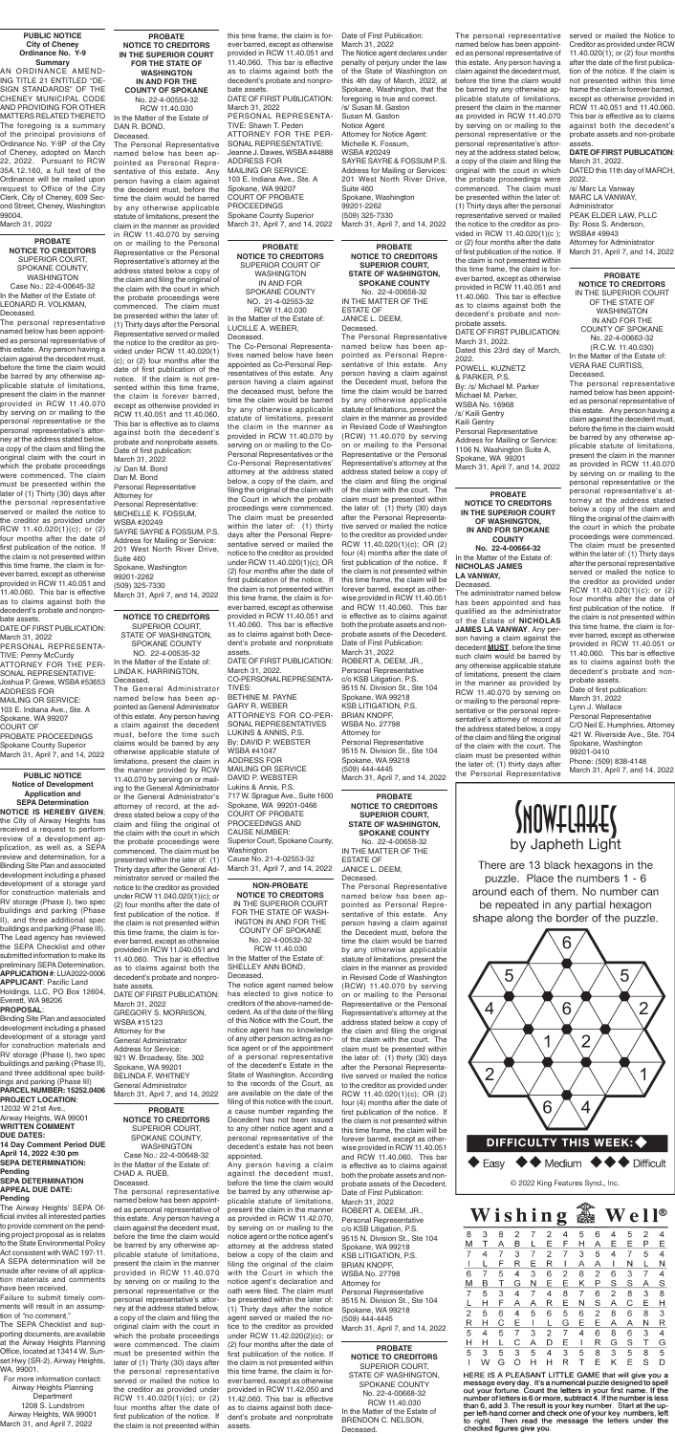#### **PROBATE NOTICE TO CREDITORS** SUPERIOR COURT, SPOKANE COUNTY, WASHINGTON Case No.: 22-4-00648-32 In the Matter of the Estate of: CHAD A. RUEB, Deceased.

**PROBATE NOTICE TO CREDITORS SUPERIOR COURT, STATE OF WASHINGTON, SPOKANE COUNTY** No. 22-4-00658-32

IN THE MATTER OF THE ESTATE OF JANICE L. DEEM, Deceased.

The Personal Representative

named below has been appointed as Personal Representative of this estate. Any person having a claim against the Decedent must, before the time the claim would be barred by any otherwise applicable statute of limitations, present the claim in the manner as provided in Revised Code of Washington (RCW) 11.40.070 by serving on or mailing to the Personal Representative or the Personal Representative's attorney at the address stated below a copy of the claim and filing the original of the claim with the court. The claim must be presented within the later of: (1) thirty (30) days after the Personal Representative served or mailed the notice to the creditor as provided under RCW 11.40.020(1)(c); OR (2) four (4) months after the date of first publication of the notice. If the claim is not presented within this time frame, the claim will be forever barred, except as otherwise provided in RCW 11.40.051 and RCW 11.40.060. This bar is effective as to claims against both the probate assets and nonprobate assets of the Decedent. Date of First Publication: March 31, 2022 ROBERT A. DEEM, JR., Personal Representative c/o KSB Litigation, P.S. 9515 N. Division St., Ste 104 Spokane, WA 99218 KSB LITIGATION, P.S. BRIAN KNOPF, WSBA No. 27798 Attorney for Personal Representative 9515 N. Division St., Ste 104 Spokane, WA 99218 (509) 444-4445 March 31, April 7, and 14, 2022

**PROBATE NOTICE TO CREDITORS SUPERIOR COURT, STATE OF WASHINGTON, SPOKANE COUNTY** No. 22-4-00658-32 IN THE MATTER OF THE ESTATE OF JANICE L. DEEM, Deceased. The Personal Representative named below has been ap-

pointed as Personal Representative of this estate. Any person having a claim against the Decedent must, before the time the claim would be barred by any otherwise applicable statute of limitations, present the claim in the manner as provided in Revised Code of Washington (RCW) 11.40.070 by serving on or mailing to the Personal Representative or the Personal Representative's attorney at the address stated below a copy of the claim and filing the original of the claim with the court. The claim must be presented within the later of: (1) thirty (30) days after the Personal Representative served or mailed the notice to the creditor as provided under RCW 11.40.020(1)(c); OR (2) four (4) months after the date of first publication of the notice. If the claim is not presented within this time frame, the claim will be forever barred, except as otherwise provided in RCW 11.40.051 and RCW 11.40.060. This bar is effective as to claims against both the probate assets and nonprobate assets of the Decedent. Date of First Publication: March 31, 2022 ROBERT A. DEEM, JR., Personal Representative c/o KSB Litigation, P.S. 9515 N. Division St., Ste 104 Spokane, WA 99218 KSB LITIGATION, P.S. BRIAN KNOPF, WSBA No. 27798 Attorney for Personal Representative 9515 N. Division St., Ste 104 Spokane, WA 99218 (509) 444-4445 March 31, April 7, and 14, 2022

**No. 22-4-00664-32** In the Matter of the Estate of: **NICHOLAS JAMES LA VANWAY,** Deceased.

The personal representative named below has been appointed as personal representative of this estate. Any person having a claim against the decedent must, before the time the claim would be barred by any otherwise applicable statute of limitations, present the claim in the manner provided in RCW 11.40.070 by serving on or mailing to the personal representative or the personal representative's attorney at the address stated below, a copy of the claim and filing the original claim with the court in which the probate proceedings were commenced. The claim must be presented within the later of (1) Thirty (30) days after the personal representative served or mailed the notice to the creditor as provided under RCW 11.40.020(1)(c); or (2) four months after the date of first publication of the notice. If the claim is not presented within assets.

The administrator named below has been appointed and has qualified as the administrator of the Estate of **NICHOLAS JAMES LA VANWAY**. Any person having a claim against the decedent **MUST**, before the time such claim would be barred by any otherwise applicable statute of limitations, present the claim in the manner as provided by RCW 11.40.070 by serving on or mailing to the personal representative or the personal representative's attorney of record at the address stated below, a copy of the claim and filing the original of the claim with the court. The claim must be presented within the later of; (1) thirty days after

## **PROBATE**

**NOTICE TO CREDITORS** SUPERIOR COURT, STATE OF WASHINGTON, SPOKANE COUNTY No. 22-4-00668-32 RCW 11.40.030 In the Matter of the Estate of BRENDON C. NELSON, Deceased.

#### by Japheth Light

There are 13 black hexagons in the puzzle. Place the numbers 1 - 6 around each of them. No number can be repeated in any partial hexagon shape along the border of the puzzle.



Wishing  $\bf{W}$  e  $\bf{\Pi}^{\circledast}$ 8 3 8  $\overline{2}$  $\overline{7}$  $\overline{2}$  $\overline{4}$ 5 6  $\overline{4}$ 5  $\overline{2}$  $\mathsf F$ Ε P M Τ  $\overline{A}$ L Е Н. Α  $E$ B <u>E</u>  $\overline{7}$  $\overline{4}$  $\overline{7}$ 3  $\overline{7}$  $\overline{2}$  $\overline{7}$  $\sqrt{3}$  $\overline{5}$  $\overline{4}$  $\overline{7}$ 5  $\overline{4}$ E R E R J. Α A N. N 6  $\overline{7}$ 5  $\overline{4}$  $\mathbf{3}$ 6  $\overline{2}$ 8 2 6 3  $\overline{7}$  $\overline{4}$  $\sf B$ E P T  $N$ E K S S M G Α S  $\overline{7}$ 5 3  $\overline{4}$  $\overline{7}$  $\overline{4}$ 8  $\overline{7}$ 6  $\overline{2}$ 8  $\mathbf{3}$ 8 Н.  $\mathsf{F}$ R Е N S A  $\mathbf C$ L A Α Е H  $\overline{2}$ 5 6  $\overline{4}$ 5 6 5 6  $\overline{2}$ 8 6 8 3  $\mathsf{R}$  $H$  $\mathbf C$ Е G E E A A N R  $\perp$ L 5 3  $\overline{2}$  $\overline{7}$  $\overline{4}$ 5  $\overline{7}$  $\overline{4}$ 6 8 6 3  $\overline{4}$  $\mathsf{C}^-$ D H  $H$ L A E  $\mathbf{I}$ R G S T. G 5 3 5 3 5  $\overline{4}$  $\overline{3}$  $\overline{5}$ 8 3  $\overline{5}$ 8 5 W G OHHR E K S.  $\mathbf{L}$  $\top$ Е D

HERE IS A PLEASANT LITTLE GAME that will give you a message every day. It's a numerical puzzle designed to spell out your fortune. Count the letters in your first name. If the number of letters is 6 or more, subtract 4. If the number is less than 6, add 3. The result is your key number. Start at the upper left-hand corner and check one of your key numbers, left<br>to right. Then read the message the letters under the checked figures give you.

**PROBATE NOTICE TO CREDITORS IN THE SUPERIOR COURT FOR THE STATE OF WASHINGTON IN AND FOR THE COUNTY OF SPOKANE** No. 22-4-00554-32 RCW 11.40.030 In the Matter of the Estate of DAN R. BOND,

> Personal Representative C/O Neil E. Humphries, Attorney 421 W. Riverside Ave., Ste. 704 Snokane, Washington 99201-0410 Phone: (509) 838-4148<br>March 31, April 7, and 14, 2022



Deceased. The Personal Representative named below has been appointed as Personal Representative of this estate. Any person having a claim against the decedent must, before the time the claim would be barred by any otherwise applicable statute of limitations, present the claim in the manner as provided in RCW 11.40.070 by serving on or mailing to the Personal Representative or the Personal Representative's attorney at the address stated below a copy of the claim and filing the original of the claim with the court in which the probate proceedings were commenced. The claim must be presented within the later of: (1) Thirty days after the Personal Representative served or mailed the notice to the creditor as provided under RCW 11.40.020(1) (c); or (2) four months after the date of first publication of the notice. If the claim is not presented within this time frame, the claim is forever barred, except as otherwise provided in RCW 11.40.051 and 11.40.060. This bar is effective as to claims against both the decedent's probate and nonprobate assets. Date of first publication: March 31, 2022 /s/ Dan M. Bond Dan M. Bond Personal Representative Attorney for Personal Representative: MICHELLE K. FOSSUM, WSBA #20249 SAYRE SAYRE & FOSSUM, P.S. Address for Mailing or Service: 201 West North River Drive, Suite 460 Spokane, Washington 99201-2262 (509) 325-7330 March 31, April 7, and 14, 2022

#### **NON-PROBATE NOTICE TO CREDITORS** IN THE SUPERIOR COURT FOR THE STATE OF WASH-INGTON IN AND FOR THE

COUNTY OF SPOKANE No. 22-4-00532-32 RCW 11.40.030

In the Matter of the Estate of: SHELLEY ANN BOND, Deceased.

The notice agent named below has elected to give notice to creditors of the above-named decedent. As of the date of the filing of this Notice with the Court, the notice agent has no knowledge of any other person acting as notice agent or of the appointment of a personal representative of the decedent's Estate in the State of Washington, According to the records of the Court, as are available on the date of the filing of this notice with the court, a cause number regarding the Decedent has not been issued to any other notice agent and a personal representative of the decedent's estate has not been appointed.

the manner provided by RCW MAILING OR SERVICE (509) 444-4445<br>**PUBLIC NOTICE** 11.40.070 by senting on or mail. DAVID P WERSTER March 31, April 7, and 14, 2022 the Personal Representative March 31, April 7, and 14, 2022 The General Administrator named below has been appointed as General Administrator of this estate. Any person having a claim against the decedent must, before the time such claims would be barred by any otherwise applicable statute of limitations, present the claim in the manner provided by RCW 11.40.070 by serving on or mailing to the General Administrator or the General Administrator's attorney of record, at the address stated below a copy of the claim and filing the original of the claim with the court in which the probate proceedings were commenced. The claim must be presented within the later of: (1) Thirty days after the General Administrator served or mailed the notice to the creditor as provided under RCW 11.040.020(1)(c); or (2) four months after the date of first publication of the notice. If the claim is not presented within this time frame, the claim is forever barred, except as otherwise provided in RCW 11.040.051 and 11.40.060. This bar is effective as to claims against both the decedent's probate and nonprobate assets.

> Any person having a claim against the decedent must, before the time the claim would be barred by any otherwise applicable statute of limitations, present the claim in the manner as provided in RCW 11.42.070, by serving on or mailing to the notice agent or the notice agent's attorney at the address stated below a copy of the claim and filing the original of the claim with the Court in which the notice agent's declaration and oath were filed. The claim must be presented within the later of: (1) Thirty days after the notice agent served or mailed the notice to the creditor as provided under RCW 11.42.020(2)(c); or (2) four months after the date of first publication of the notice. If the claim is not presented within this time frame, the claim is forever barred, except as otherwise provided in RCW 11.42.050 and 11.42.060. This bar is effective as to claims against both decedent's probate and nonprobate

**PROBATE NOTICE TO CREDITORS** SUPERIOR COURT OF WASHINGTON IN AND FOR SPOKANE COUNTY NO. 21-4-02553-32 RCW 11.40.030 In the Matter of the Estate of:

LUCILLE A. WEBER, Deceased.

The Co-Personal Representatives named below have been appointed as Co-Personal Representatives of this estate. Any person having a claim against the deceased must, before the time the claim would be barred by any otherwise applicable statute of limitations, present the claim in the manner as provided in RCW 11.40.070 by serving on or mailing to the Co-Personal Representatives or the Co-Personal Representatives' attorney at the address stated below, a copy of the claim, and filing the original of the claim with the Court in which the probate proceedings were commenced. The claim must be presented within the later of: (1) thirty days after the Personal Representative served or mailed the notice to the creditor as provided under RCW 11.40.020(1)(c); OR (2) four months after the date of first publication of the notice. If the claim is not presented within this time frame, the claim is forever barred, except as otherwise provided in RCW 11.40.051 and 11.40.060. This bar is effective as to claims against both Decedent's probate and nonprobate assets. DATE OF FIRST PUBLICATION: March 31, 2022.

CO-PERSONAL REPRESENTA-TIVES: BETHINE M. PAYNE GARY R. WEBER ATTORNEYS FOR CO-PER-SONAL REPRESENTATIVES LUKINS & ANNIS, P.S. By: DAVID P. WEBSTER WSBA #41047 ADDRESS FOR MAILING OR SERVICE DAVID P. WEBSTER Lukins & Annis, P.S. 717 W. Sprague Ave., Suite 1600 Spokane, WA 99201-0466 COURT OF PROBATE PROCEEDINGS AND CAUSE NUMBER: Superior Court, Spokane County,

Washington Cause No. 21-4-02553-32 March 31, April 7, and 14, 2022

**PROBATE NOTICE TO CREDITORS**

IN THE SUPERIOR COURT OF THE STATE OF WASHINGTON IN AND FOR THE COUNTY OF SPOKANE No. 22-4-00663-32 (R.C.W. 11.40.030) In the Matter of the Estate of: VERA RAE CURTISS, Deceased.

The personal representative named below has been appointed as personal representative of this estate. Any person having a claim against the decedent must, before the time in the claim would be barred by any otherwise applicable statute of limitations, present the claim in the manner as provided in RCW 11.40.070 by serving on or mailing to the personal representative or the personal representative's attorney at the address stated below a copy of the claim and filing the original of the claim with the court in which the probate proceedings were commenced. The claim must be presented within the later of: (1) Thirty days after the personal representative served or mailed the notice to the creditor as provided under RCW 11.40.020(1)(c); or (2) four months after the date of first publication of the notice. If the claim is not presented within this time frame, the claim is forever barred, except as otherwise provided in RCW 11.40.051 or 11.40.060. This bar is effective as to claims against both the decedent's probate and nonprobate assets. Date of first publication: March 31, 2022 Lynn J. Wallace

#### **Notice of Development Application and SEPA Determination NOTICE IS HEREBY GIVEN**; the City of Airway Heights has received a request to perform review of a development ap-

**PROBATE NOTICE TO CREDITORS IN THE SUPERIOR COURT OF WASHINGTON, IN AND FOR SPOKANE COUNTY** The personal representative served or mailed the Notice to named below has been appointed as personal representative of this estate. Any person having a claim against the decedent must, before the time the claim would be barred by any otherwise applicable statute of limitations, present the claim in the manner as provided in RCW 11.40.070 by serving on or mailing to the personal representative or the personal representative's attorney at the address stated below, a copy of the claim and filing the original with the court in which the probate proceedings were commenced. The claim must be presented within the later of: (1) Thirty days after the personal representative served or mailed the notice to the creditor as provided in RCW 11.40.020(1)(c ); or (2) four months after the date of first publication of the notice. If the claim is not presented within this time frame, the claim is forever barred, except as otherwise provided in RCW 11.40.051 and 11.40.060. This bar is effective as to claims against both the decedent's probate and nonprobate assets. DATE OF FIRST PUBLICATION: March 31, 2022. Dated this 23rd day of March, 2022. POWELL, KUZNETZ & PARKER, P.S. By: /s/ Michael M. Parker Michael M. Parker, WSBA No. 16968 /s/ Kaili Gentry Kaili Gentry Personal Representative Address for Mailing or Service: 1106 N. Washington Suite A, Spokane, WA 99201 March 31, April 7, and 14, 2022

plication, as well as, a SEPA review and determination, for a Binding Site Plan and associated development including a phased development of a storage yard for construction materials and RV storage (Phase I), two spec buildings and parking (Phase II), and three additional spec buildings and parking (Phase III). The Lead agency has reviewed the SEPA Checklist and other submitted information to make its preliminary SEPA Determination. **APPLICATION #**: LUA2022-0006

#### **APPLICANT**: Pacific Land Holdings, LLC, PO Box 12604, Everett, WA 98206

### **PROPOSAL**:

Binding Site Plan and associated development including a phased development of a storage yard for construction materials and RV storage (Phase I), two spec buildings and parking (Phase II), and three additional spec buildings and parking (Phase III)

#### **PARCEL NUMBER: 15252.0406 PROJECT LOCATION**: 12032 W 21st Ave.,

Airway Heights, WA 99001 **WRITTEN COMMENT DUE DATES: 14 Day Comment Period DUE** 

#### **April 14, 2022 4:30 pm SEPA DETERMINATION: Pending SEPA DETERMINATION APPEAL DUE DATE:**

**Pending**

The Airway Heights' SEPA Official invites all interested parties to provide comment on the pending project proposal as is relates to the State Environmental Policy Act consistent with WAC 197-11. A SEPA determination will be made after review of all application materials and comments have been received.

Failure to submit timely comments will result in an assumption of "no comment."

The SEPA Checklist and supporting documents, are available at the Airway Heights Planning Office, located at 13414 W. Sunset Hwy (SR-2), Airway Heights, WA, 99001.

For more information contact: Airway Heights Planning Department 1208 S. Lundstrom Airway Heights, WA 99001 March 31, and April 7, 2022

**NOTICE TO CREDITORS** SUPERIOR COURT, STATE OF WASHINGTON, SPOKANE COUNTY NO. 22-4-00535-32 In the Matter of the Estate of: LINDA K. HARRINGTON, Deceased.

#### DATE OF FIRST PUBLICATION: March 31, 2022 GREGORY S. MORRISON, WSBA #15123 Attorney for the General Administrator Address for Service: 921 W. Broadway, Ste. 302 Spokane, WA 99201 BELINDA F. WHITNEY General Administrator

March 31, April 7, and 14, 2022

#### **PROBATE NOTICE TO CREDITORS** SUPERIOR COURT, SPOKANE COUNTY, WASHINGTON Case No.: 22-4-00645-32 In the Matter of the Estate of: LEONARD R. VOLKMAN,

Deceased.

The personal representative named below has been appointed as personal representative of this estate. Any person having a claim against the decedent must, before the time the claim would be barred by any otherwise applicable statute of limitations, present the claim in the manner provided in RCW 11.40.070 by serving on or mailing to the personal representative or the personal representative's attorney at the address stated below, a copy of the claim and filing the original claim with the court in which the probate proceedings were commenced. The claim must be presented within the later of (1) Thirty (30) days after the personal representative served or mailed the notice to the creditor as provided under RCW 11.40.020(1)(c); or (2) four months after the date of first publication of the notice. If the claim is not presented within this time frame, the claim is forever barred, except as otherwise provided in RCW 11.40.051 and 11.40.060. This bar is effective as to claims against both the decedent's probate and nonpro-

bate assets. DATE OF FIRST PUBLICATION: March 31, 2022

- PERSONAL REPRESENTA-TIVE: Penny McCurdy ATTORNEY FOR THE PER-
- SONAL REPRESENTATIVE: Joshua P. Grewe, WSBA #53653 ADDRESS FOR MAILING OR SERVICE:
- 103 E. Indiana Ave., Ste. A Spokane, WA 99207 COURT OF
- PROBATE PROCEEDINGS Spokane County Superior March 31, April 7, and 14, 2022

#### **PUBLIC NOTICE City of Cheney Ordinance No. Y-9 Summary**

AN ORDINANCE AMEND-ING TITLE 21 ENTITLED "DE-SIGN STANDARDS" OF THE CHENEY MUNICIPAL CODE AND PROVIDING FOR OTHER MATTERS RELATED THERETO The foregoing is a summary of the principal provisions of Ordinance No. Y-9P of the City of Cheney, adopted on March 22, 2022. Pursuant to RCW 35A.12.160, a full text of the Ordinance will be mailed upon request to Office of the City Clerk, City of Cheney, 609 Second Street, Cheney, Washington 99004. March 31, 2022

this time frame, the claim is forever barred, except as otherwise provided in RCW 11.40.051 and 11.40.060. This bar is effective as to claims against both the decedent's probate and nonprobate assets.

DATE OF FIRST PUBLICATION: March 31, 2022 PERSONAL REPRESENTA-TIVE: Shawn T. Peden ATTORNEY FOR THE PER-SONAL REPRESENTATIVE: Jeanne J. Dawes, WSBA #44888 ADDRESS FOR MAILING OR SERVICE: 103 E. Indiana Ave., Ste. A Spokane, WA 99207 COURT OF PROBATE **PROCEEDINGS** Spokane County Superior March 31, April 7, and 14, 2022

Date of First Publication: March 31, 2022

The Notice agent declares under penalty of perjury under the law of the State of Washington on this 4th day of March, 2022, at Spokane, Washington, that the foregoing is true and correct. /s/ Susan M. Gaston Susan M. Gaston Notice Agent Attorney for Notice Agent: Michelle K. Fossum, WSBA #20249 SAYRE SAYRE & FOSSUM P.S. Address for Mailing or Services: 201 West North River Drive, Suite 460 Spokane, Washington 99201-2262 (509) 325-7330 March 31, April 7, and 14, 2022

Creditor as provided under RCW 11.40.020(1); or (2) four months after the date of the first publication of the notice. If the claim is not presented within this time frame the claim is forever barred, except as otherwise provided in RCW 11.40.051 and 11.40.060. This bar is effective as to claims against both the decedent's probate assets and non-probate assets.

#### **DATE OF FIRST PUBLICATION**: March 31, 2022.

DATED this 11th day of MARCH, 2022.

/s/ Marc La Vanway MARC LA VANWAY, Administrator PEAK ELDER LAW, PLLC By: Ross S. Anderson, WSBA# 49943 Attorney for Administrator March 31, April 7, and 14, 2022